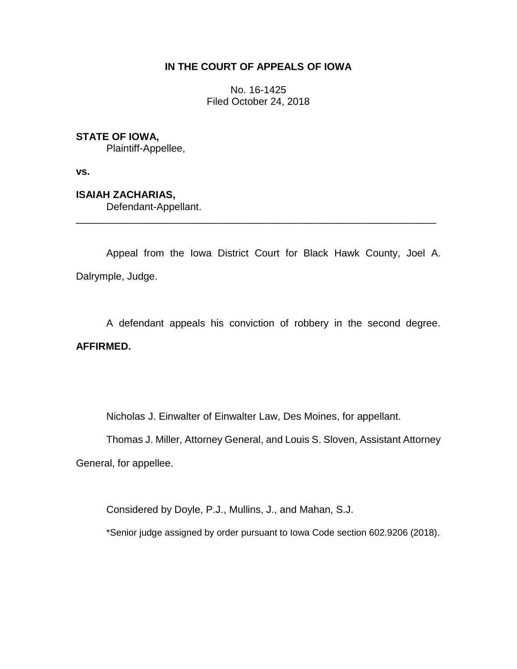## **IN THE COURT OF APPEALS OF IOWA**

No. 16-1425 Filed October 24, 2018

## **STATE OF IOWA,**

Plaintiff-Appellee,

**vs.**

# **ISAIAH ZACHARIAS,**

Defendant-Appellant.

Appeal from the Iowa District Court for Black Hawk County, Joel A. Dalrymple, Judge.

\_\_\_\_\_\_\_\_\_\_\_\_\_\_\_\_\_\_\_\_\_\_\_\_\_\_\_\_\_\_\_\_\_\_\_\_\_\_\_\_\_\_\_\_\_\_\_\_\_\_\_\_\_\_\_\_\_\_\_\_\_\_\_\_

A defendant appeals his conviction of robbery in the second degree. **AFFIRMED.**

Nicholas J. Einwalter of Einwalter Law, Des Moines, for appellant.

Thomas J. Miller, Attorney General, and Louis S. Sloven, Assistant Attorney

General, for appellee.

Considered by Doyle, P.J., Mullins, J., and Mahan, S.J.

\*Senior judge assigned by order pursuant to Iowa Code section 602.9206 (2018).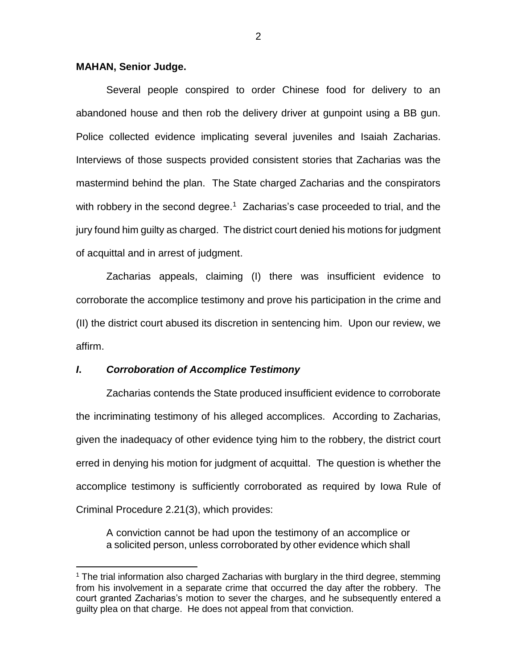### **MAHAN, Senior Judge.**

Several people conspired to order Chinese food for delivery to an abandoned house and then rob the delivery driver at gunpoint using a BB gun. Police collected evidence implicating several juveniles and Isaiah Zacharias. Interviews of those suspects provided consistent stories that Zacharias was the mastermind behind the plan. The State charged Zacharias and the conspirators with robbery in the second degree.<sup>1</sup> Zacharias's case proceeded to trial, and the jury found him guilty as charged. The district court denied his motions for judgment of acquittal and in arrest of judgment.

Zacharias appeals, claiming (I) there was insufficient evidence to corroborate the accomplice testimony and prove his participation in the crime and (II) the district court abused its discretion in sentencing him. Upon our review, we affirm.

### *I***.** *Corroboration of Accomplice Testimony*

 $\overline{a}$ 

Zacharias contends the State produced insufficient evidence to corroborate the incriminating testimony of his alleged accomplices. According to Zacharias, given the inadequacy of other evidence tying him to the robbery, the district court erred in denying his motion for judgment of acquittal. The question is whether the accomplice testimony is sufficiently corroborated as required by Iowa Rule of Criminal Procedure 2.21(3), which provides:

A conviction cannot be had upon the testimony of an accomplice or a solicited person, unless corroborated by other evidence which shall

 $1$  The trial information also charged Zacharias with burglary in the third degree, stemming from his involvement in a separate crime that occurred the day after the robbery. The court granted Zacharias's motion to sever the charges, and he subsequently entered a guilty plea on that charge. He does not appeal from that conviction.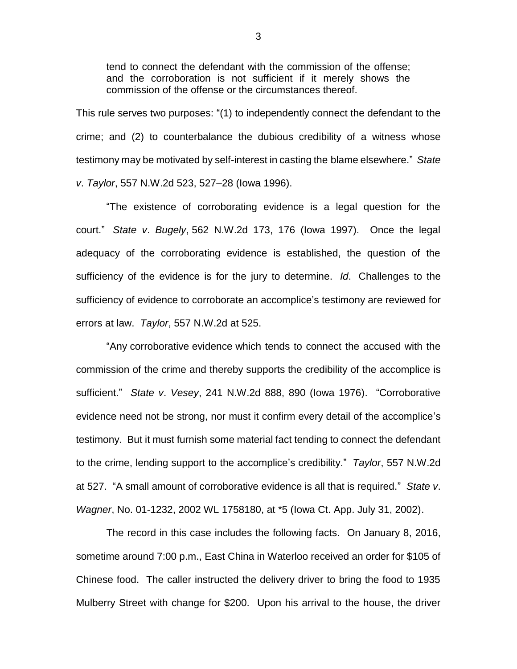tend to connect the defendant with the commission of the offense; and the corroboration is not sufficient if it merely shows the commission of the offense or the circumstances thereof.

This rule serves two purposes: "(1) to independently connect the defendant to the crime; and (2) to counterbalance the dubious credibility of a witness whose testimony may be motivated by self-interest in casting the blame elsewhere." *State v*. *Taylor*, 557 N.W.2d 523, 527–28 (Iowa 1996).

"The existence of corroborating evidence is a legal question for the court." *State v*. *Bugely*, 562 N.W.2d 173, 176 (Iowa 1997). Once the legal adequacy of the corroborating evidence is established, the question of the sufficiency of the evidence is for the jury to determine. *Id*. Challenges to the sufficiency of evidence to corroborate an accomplice's testimony are reviewed for errors at law. *Taylor*, 557 N.W.2d at 525.

"Any corroborative evidence which tends to connect the accused with the commission of the crime and thereby supports the credibility of the accomplice is sufficient." *State v*. *Vesey*, 241 N.W.2d 888, 890 (Iowa 1976). "Corroborative evidence need not be strong, nor must it confirm every detail of the accomplice's testimony. But it must furnish some material fact tending to connect the defendant to the crime, lending support to the accomplice's credibility." *Taylor*, 557 N.W.2d at 527. "A small amount of corroborative evidence is all that is required." *State v*. *Wagner*, No. 01-1232, 2002 WL 1758180, at \*5 (Iowa Ct. App. July 31, 2002).

The record in this case includes the following facts. On January 8, 2016, sometime around 7:00 p.m., East China in Waterloo received an order for \$105 of Chinese food. The caller instructed the delivery driver to bring the food to 1935 Mulberry Street with change for \$200. Upon his arrival to the house, the driver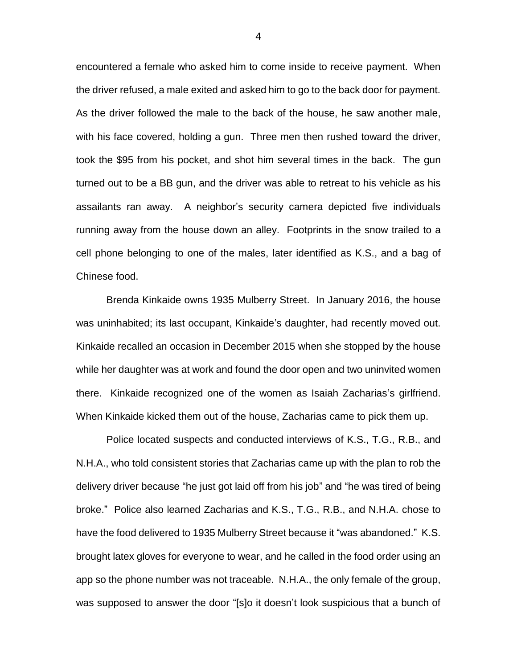encountered a female who asked him to come inside to receive payment. When the driver refused, a male exited and asked him to go to the back door for payment. As the driver followed the male to the back of the house, he saw another male, with his face covered, holding a gun. Three men then rushed toward the driver, took the \$95 from his pocket, and shot him several times in the back. The gun turned out to be a BB gun, and the driver was able to retreat to his vehicle as his assailants ran away. A neighbor's security camera depicted five individuals running away from the house down an alley. Footprints in the snow trailed to a cell phone belonging to one of the males, later identified as K.S., and a bag of Chinese food.

Brenda Kinkaide owns 1935 Mulberry Street. In January 2016, the house was uninhabited; its last occupant, Kinkaide's daughter, had recently moved out. Kinkaide recalled an occasion in December 2015 when she stopped by the house while her daughter was at work and found the door open and two uninvited women there. Kinkaide recognized one of the women as Isaiah Zacharias's girlfriend. When Kinkaide kicked them out of the house, Zacharias came to pick them up.

Police located suspects and conducted interviews of K.S., T.G., R.B., and N.H.A., who told consistent stories that Zacharias came up with the plan to rob the delivery driver because "he just got laid off from his job" and "he was tired of being broke." Police also learned Zacharias and K.S., T.G., R.B., and N.H.A. chose to have the food delivered to 1935 Mulberry Street because it "was abandoned." K.S. brought latex gloves for everyone to wear, and he called in the food order using an app so the phone number was not traceable. N.H.A., the only female of the group, was supposed to answer the door "[s]o it doesn't look suspicious that a bunch of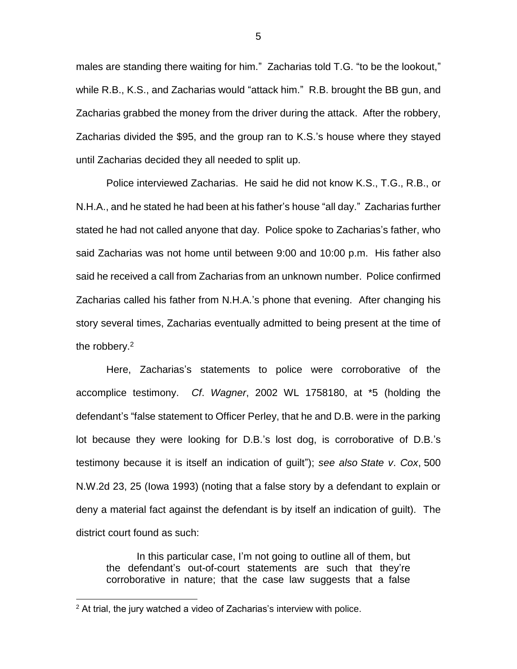males are standing there waiting for him." Zacharias told T.G. "to be the lookout," while R.B., K.S., and Zacharias would "attack him." R.B. brought the BB gun, and Zacharias grabbed the money from the driver during the attack. After the robbery, Zacharias divided the \$95, and the group ran to K.S.'s house where they stayed until Zacharias decided they all needed to split up.

Police interviewed Zacharias. He said he did not know K.S., T.G., R.B., or N.H.A., and he stated he had been at his father's house "all day." Zacharias further stated he had not called anyone that day. Police spoke to Zacharias's father, who said Zacharias was not home until between 9:00 and 10:00 p.m. His father also said he received a call from Zacharias from an unknown number. Police confirmed Zacharias called his father from N.H.A.'s phone that evening. After changing his story several times, Zacharias eventually admitted to being present at the time of the robbery.<sup>2</sup>

Here, Zacharias's statements to police were corroborative of the accomplice testimony. *Cf*. *Wagner*, 2002 WL 1758180, at \*5 (holding the defendant's "false statement to Officer Perley, that he and D.B. were in the parking lot because they were looking for D.B.'s lost dog, is corroborative of D.B.'s testimony because it is itself an indication of guilt"); *see also State v*. *Cox*, 500 N.W.2d 23, 25 (Iowa 1993) (noting that a false story by a defendant to explain or deny a material fact against the defendant is by itself an indication of guilt). The district court found as such:

In this particular case, I'm not going to outline all of them, but the defendant's out-of-court statements are such that they're corroborative in nature; that the case law suggests that a false

 $\overline{a}$ 

 $2$  At trial, the jury watched a video of Zacharias's interview with police.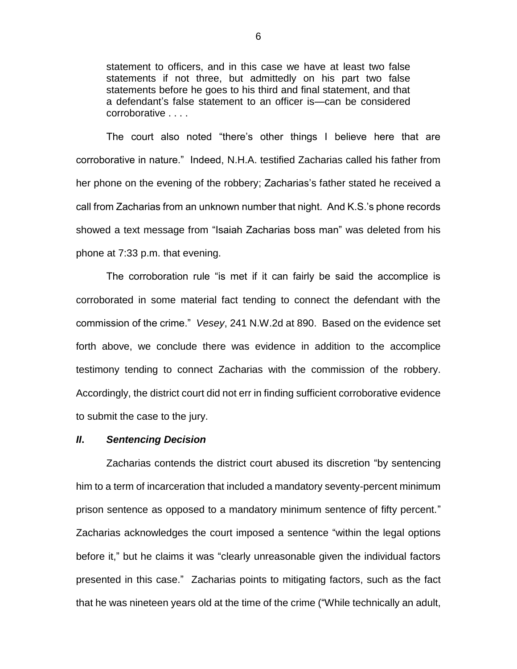statement to officers, and in this case we have at least two false statements if not three, but admittedly on his part two false statements before he goes to his third and final statement, and that a defendant's false statement to an officer is—can be considered corroborative . . . .

The court also noted "there's other things I believe here that are corroborative in nature." Indeed, N.H.A. testified Zacharias called his father from her phone on the evening of the robbery; Zacharias's father stated he received a call from Zacharias from an unknown number that night. And K.S.'s phone records showed a text message from "Isaiah Zacharias boss man" was deleted from his phone at 7:33 p.m. that evening.

The corroboration rule "is met if it can fairly be said the accomplice is corroborated in some material fact tending to connect the defendant with the commission of the crime." *Vesey*, 241 N.W.2d at 890. Based on the evidence set forth above, we conclude there was evidence in addition to the accomplice testimony tending to connect Zacharias with the commission of the robbery. Accordingly, the district court did not err in finding sufficient corroborative evidence to submit the case to the jury.

#### *II***.** *Sentencing Decision*

Zacharias contends the district court abused its discretion "by sentencing him to a term of incarceration that included a mandatory seventy-percent minimum prison sentence as opposed to a mandatory minimum sentence of fifty percent." Zacharias acknowledges the court imposed a sentence "within the legal options before it," but he claims it was "clearly unreasonable given the individual factors presented in this case." Zacharias points to mitigating factors, such as the fact that he was nineteen years old at the time of the crime ("While technically an adult,